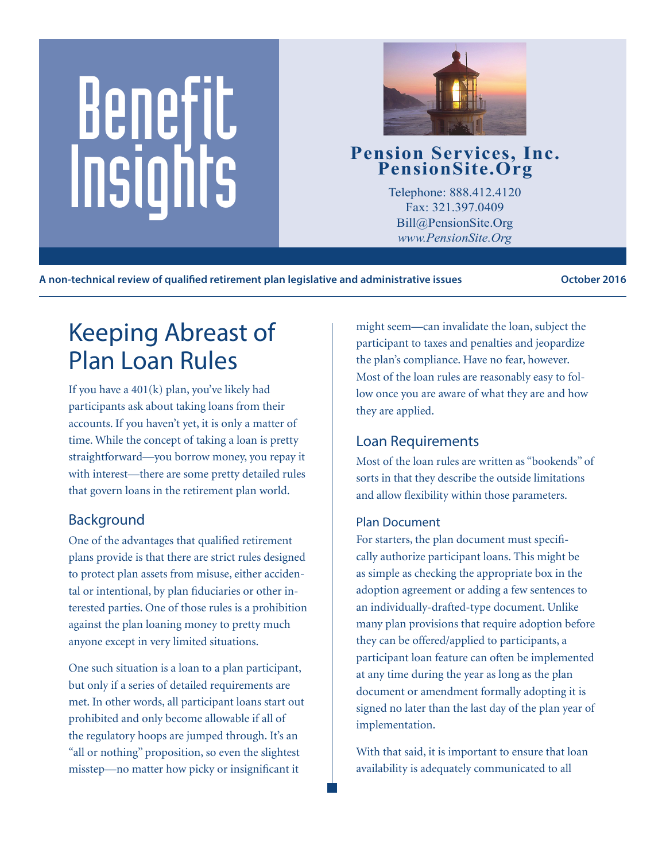# Benefit Pension Services, Inc.<br>
PensionSite.Org<br>
Telephone: 888.412.4120<br>
Fax: 321.397.0409<br>
Pill@BensionSite.Org<br>
Pill@BensionSite.Org



Telephone: 888.412.4120 Fax: 321.397.0409 Bill@PensionSite.Org *www.PensionSite.Org*

**A non-technical review of qualified retirement plan legislative and administrative issues October 2016**

## Keeping Abreast of Plan Loan Rules

If you have a 401(k) plan, you've likely had participants ask about taking loans from their accounts. If you haven't yet, it is only a matter of time. While the concept of taking a loan is pretty straightforward—you borrow money, you repay it with interest—there are some pretty detailed rules that govern loans in the retirement plan world.

### Background

One of the advantages that qualified retirement plans provide is that there are strict rules designed to protect plan assets from misuse, either accidental or intentional, by plan fiduciaries or other interested parties. One of those rules is a prohibition against the plan loaning money to pretty much anyone except in very limited situations.

One such situation is a loan to a plan participant, but only if a series of detailed requirements are met. In other words, all participant loans start out prohibited and only become allowable if all of the regulatory hoops are jumped through. It's an "all or nothing" proposition, so even the slightest misstep—no matter how picky or insignificant it

might seem—can invalidate the loan, subject the participant to taxes and penalties and jeopardize the plan's compliance. Have no fear, however. Most of the loan rules are reasonably easy to follow once you are aware of what they are and how they are applied.

#### Loan Requirements

Most of the loan rules are written as "bookends" of sorts in that they describe the outside limitations and allow flexibility within those parameters.

#### Plan Document

For starters, the plan document must specifically authorize participant loans. This might be as simple as checking the appropriate box in the adoption agreement or adding a few sentences to an individually-drafted-type document. Unlike many plan provisions that require adoption before they can be offered/applied to participants, a participant loan feature can often be implemented at any time during the year as long as the plan document or amendment formally adopting it is signed no later than the last day of the plan year of implementation.

With that said, it is important to ensure that loan availability is adequately communicated to all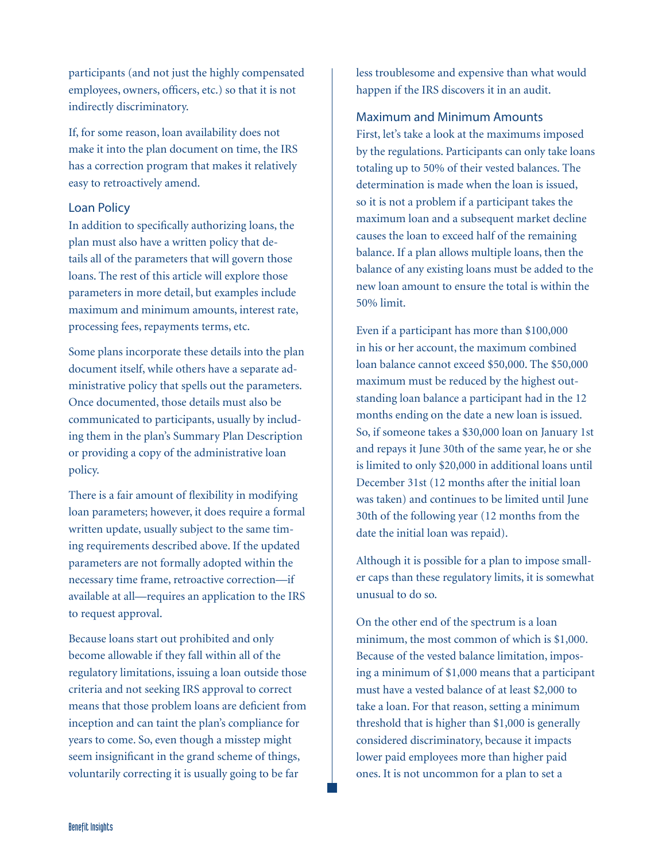participants (and not just the highly compensated employees, owners, officers, etc.) so that it is not indirectly discriminatory.

If, for some reason, loan availability does not make it into the plan document on time, the IRS has a correction program that makes it relatively easy to retroactively amend.

#### Loan Policy

In addition to specifically authorizing loans, the plan must also have a written policy that details all of the parameters that will govern those loans. The rest of this article will explore those parameters in more detail, but examples include maximum and minimum amounts, interest rate, processing fees, repayments terms, etc.

Some plans incorporate these details into the plan document itself, while others have a separate administrative policy that spells out the parameters. Once documented, those details must also be communicated to participants, usually by including them in the plan's Summary Plan Description or providing a copy of the administrative loan policy.

There is a fair amount of flexibility in modifying loan parameters; however, it does require a formal written update, usually subject to the same timing requirements described above. If the updated parameters are not formally adopted within the necessary time frame, retroactive correction—if available at all—requires an application to the IRS to request approval.

Because loans start out prohibited and only become allowable if they fall within all of the regulatory limitations, issuing a loan outside those criteria and not seeking IRS approval to correct means that those problem loans are deficient from inception and can taint the plan's compliance for years to come. So, even though a misstep might seem insignificant in the grand scheme of things, voluntarily correcting it is usually going to be far

less troublesome and expensive than what would happen if the IRS discovers it in an audit.

#### Maximum and Minimum Amounts

First, let's take a look at the maximums imposed by the regulations. Participants can only take loans totaling up to 50% of their vested balances. The determination is made when the loan is issued, so it is not a problem if a participant takes the maximum loan and a subsequent market decline causes the loan to exceed half of the remaining balance. If a plan allows multiple loans, then the balance of any existing loans must be added to the new loan amount to ensure the total is within the 50% limit.

Even if a participant has more than \$100,000 in his or her account, the maximum combined loan balance cannot exceed \$50,000. The \$50,000 maximum must be reduced by the highest outstanding loan balance a participant had in the 12 months ending on the date a new loan is issued. So, if someone takes a \$30,000 loan on January 1st and repays it June 30th of the same year, he or she is limited to only \$20,000 in additional loans until December 31st (12 months after the initial loan was taken) and continues to be limited until June 30th of the following year (12 months from the date the initial loan was repaid).

Although it is possible for a plan to impose smaller caps than these regulatory limits, it is somewhat unusual to do so.

On the other end of the spectrum is a loan minimum, the most common of which is \$1,000. Because of the vested balance limitation, imposing a minimum of \$1,000 means that a participant must have a vested balance of at least \$2,000 to take a loan. For that reason, setting a minimum threshold that is higher than \$1,000 is generally considered discriminatory, because it impacts lower paid employees more than higher paid ones. It is not uncommon for a plan to set a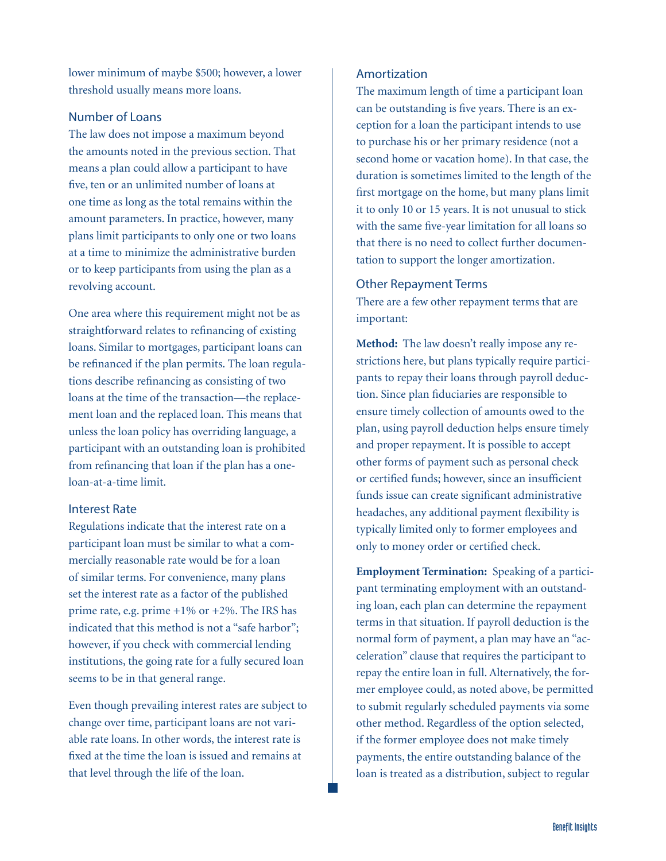lower minimum of maybe \$500; however, a lower threshold usually means more loans.

#### Number of Loans

The law does not impose a maximum beyond the amounts noted in the previous section. That means a plan could allow a participant to have five, ten or an unlimited number of loans at one time as long as the total remains within the amount parameters. In practice, however, many plans limit participants to only one or two loans at a time to minimize the administrative burden or to keep participants from using the plan as a revolving account.

One area where this requirement might not be as straightforward relates to refinancing of existing loans. Similar to mortgages, participant loans can be refinanced if the plan permits. The loan regulations describe refinancing as consisting of two loans at the time of the transaction—the replacement loan and the replaced loan. This means that unless the loan policy has overriding language, a participant with an outstanding loan is prohibited from refinancing that loan if the plan has a oneloan-at-a-time limit.

#### Interest Rate

Regulations indicate that the interest rate on a participant loan must be similar to what a commercially reasonable rate would be for a loan of similar terms. For convenience, many plans set the interest rate as a factor of the published prime rate, e.g. prime +1% or +2%. The IRS has indicated that this method is not a "safe harbor"; however, if you check with commercial lending institutions, the going rate for a fully secured loan seems to be in that general range.

Even though prevailing interest rates are subject to change over time, participant loans are not variable rate loans. In other words, the interest rate is fixed at the time the loan is issued and remains at that level through the life of the loan.

#### Amortization

The maximum length of time a participant loan can be outstanding is five years. There is an exception for a loan the participant intends to use to purchase his or her primary residence (not a second home or vacation home). In that case, the duration is sometimes limited to the length of the first mortgage on the home, but many plans limit it to only 10 or 15 years. It is not unusual to stick with the same five-year limitation for all loans so that there is no need to collect further documentation to support the longer amortization.

#### Other Repayment Terms

There are a few other repayment terms that are important:

**Method:** The law doesn't really impose any restrictions here, but plans typically require participants to repay their loans through payroll deduction. Since plan fiduciaries are responsible to ensure timely collection of amounts owed to the plan, using payroll deduction helps ensure timely and proper repayment. It is possible to accept other forms of payment such as personal check or certified funds; however, since an insufficient funds issue can create significant administrative headaches, any additional payment flexibility is typically limited only to former employees and only to money order or certified check.

**Employment Termination:** Speaking of a participant terminating employment with an outstanding loan, each plan can determine the repayment terms in that situation. If payroll deduction is the normal form of payment, a plan may have an "acceleration" clause that requires the participant to repay the entire loan in full. Alternatively, the former employee could, as noted above, be permitted to submit regularly scheduled payments via some other method. Regardless of the option selected, if the former employee does not make timely payments, the entire outstanding balance of the loan is treated as a distribution, subject to regular